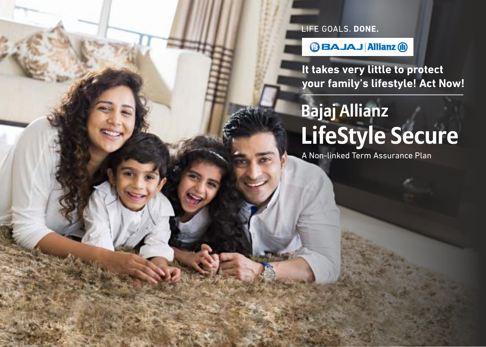LIFE GOALS. DONE.

**BAJAJ Allianz @** 

**It takes very little to protect your family's lifestyle! Act Now!**

# **Bajaj Allianz LifeStyle Secure**

A Non-linked Term Assurance Plan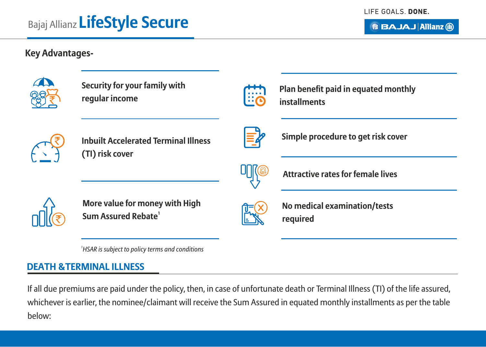# **BBAJAJ Allianz (ii)**

# **Key Advantages-**



**Security for your family with regular income**



**Plan benefit paid in equated monthly installments** 



**Inbuilt Accelerated Terminal Illness (TI) risk cover**



**Simple procedure to get risk cover**



**More value for money with High 1 Sum Assured Rebate**



**No medical examination/tests required**

**Attractive rates for female lives**

*1 HSAR is subject to policy terms and conditions*

# **DEATH &TERMINAL ILLNESS**

If all due premiums are paid under the policy, then, in case of unfortunate death or Terminal Illness (TI) of the life assured, whichever is earlier, the nominee/claimant will receive the Sum Assured in equated monthly installments as per the table below: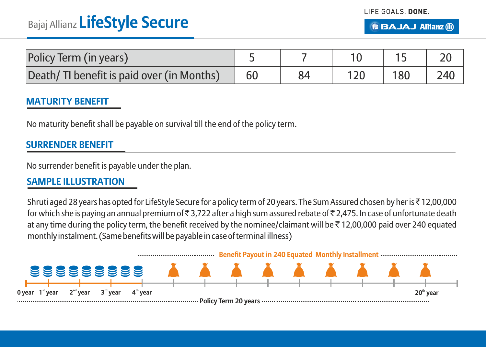| Policy Term (in years)                    |    |  |     |     |
|-------------------------------------------|----|--|-----|-----|
| Death/TI benefit is paid over (in Months) | 60 |  | 180 | 240 |

### **MATURITY BENEFIT**

No maturity benefit shall be payable on survival till the end of the policy term.

## **SURRENDER BENEFIT**

No surrender benefit is payable under the plan.

## **SAMPLE ILLUSTRATION**

Shruti aged 28 years has opted for LifeStyle Secure for a policy term of 20 years. The Sum Assured chosen by her is₹12,00,000 for which she is paying an annual premium of  $\bar{\tau}$  3,722 after a high sum assured rebate of  $\bar{\tau}$  2,475. In case of unfortunate death at any time during the policy term, the benefit received by the nominee/claimant will be  $\bar{\tau}$  12,00,000 paid over 240 equated monthly instalment. (Same benefits will be payable in case of terminal illness)

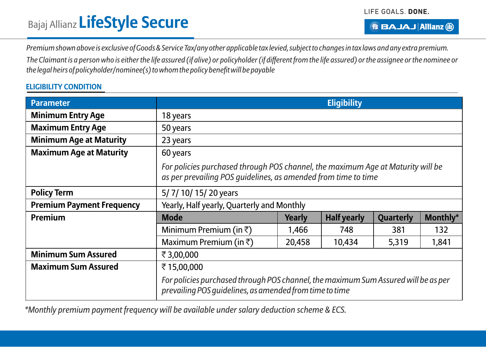*Premium shown above is exclusive of Goods & Service Tax/any other applicable tax levied, subject to changes in tax laws and any extra premium.*

*The Claimant is a person who is either the life assured (if alive) or policyholder (if different from the life assured) or the assignee or the nominee or the legal heirs of policyholder/nominee(s) to whom the policy benefit will be payable*

#### **ELIGIBILITY CONDITION**

| <b>Parameter</b>                 | <b>Eligibility</b>                                                                                                                                |        |                    |                  |          |  |  |  |
|----------------------------------|---------------------------------------------------------------------------------------------------------------------------------------------------|--------|--------------------|------------------|----------|--|--|--|
| <b>Minimum Entry Age</b>         | 18 years                                                                                                                                          |        |                    |                  |          |  |  |  |
| <b>Maximum Entry Age</b>         | 50 years                                                                                                                                          |        |                    |                  |          |  |  |  |
| <b>Minimum Age at Maturity</b>   | 23 years                                                                                                                                          |        |                    |                  |          |  |  |  |
| <b>Maximum Age at Maturity</b>   | 60 years                                                                                                                                          |        |                    |                  |          |  |  |  |
|                                  | For policies purchased through POS channel, the maximum Age at Maturity will be<br>as per prevailing POS quidelines, as amended from time to time |        |                    |                  |          |  |  |  |
| <b>Policy Term</b>               | 5/7/10/15/20 years                                                                                                                                |        |                    |                  |          |  |  |  |
| <b>Premium Payment Frequency</b> | Yearly, Half yearly, Quarterly and Monthly                                                                                                        |        |                    |                  |          |  |  |  |
| Premium                          | <b>Mode</b>                                                                                                                                       | Yearly | <b>Half yearly</b> | <b>Quarterly</b> | Monthly* |  |  |  |
|                                  | Minimum Premium (in $\bar{\tau}$ )                                                                                                                | 1,466  | 748                | 381              | 132      |  |  |  |
|                                  | Maximum Premium (in $\bar{\tau}$ )                                                                                                                | 20,458 | 10,434             | 5,319            | 1,841    |  |  |  |
| <b>Minimum Sum Assured</b>       | ₹3,00,000                                                                                                                                         |        |                    |                  |          |  |  |  |
| <b>Maximum Sum Assured</b>       | ₹15,00,000                                                                                                                                        |        |                    |                  |          |  |  |  |
|                                  | For policies purchased through POS channel, the maximum Sum Assured will be as per<br>prevailing POS quidelines, as amended from time to time     |        |                    |                  |          |  |  |  |

*\*Monthly premium payment frequency will be available under salary deduction scheme & ECS.*